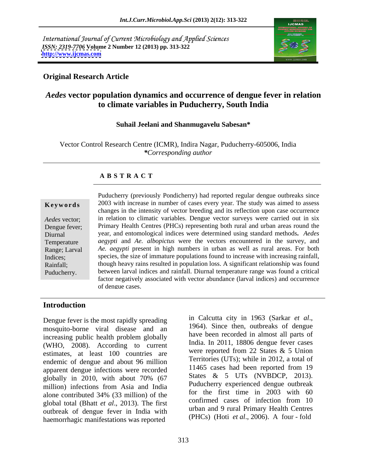International Journal of Current Microbiology and Applied Sciences *ISSN: 2319-7706* **Volume 2 Number 12 (2013) pp. 313-322 <http://www.ijcmas.com>**



### **Original Research Article**

# *Aedes* **vector population dynamics and occurrence of dengue fever in relation to climate variables in Puducherry, South India**

### **Suhail Jeelani and Shanmugavelu Sabesan\***

Vector Control Research Centre (ICMR), Indira Nagar, Puducherry-605006, India *\*Corresponding author* 

### **A B S T R A C T**

**Keywords** 2003 with increase in number of cases every year. The study was aimed to assess *Aedes* vector; in relation to climatic variables. Dengue vector surveys were carried out in six Dengue fever; Primary Health Centres (PHCs) representing both rural and urban areas round the Diurnal year, and entomological indices were determined using standard methods**.** *Aedes* Temperature *aegypti* and *Ae. albopictus* were the vectors encountered in the survey, and Range; Larval *Ae. aegypti* present in high numbers in urban as well as rural areas. For both Indices; species, the size of immature populations found to increase with increasing rainfall, Rainfall; though heavy rains resulted in population loss. A significant relationship was found Puducherry. between larval indices and rainfall. Diurnal temperature range was found a critical Puducherry (previously Pondicherry) had reported regular dengue outbreaks since changes in the intensity of vector breeding and its reflection upon case occurrence factor negatively associated with vector abundance (larval indices) and occurrence of dengue cases.

### **Introduction**

Dengue fever is the most rapidly spreading<br>mosquito horne, viral, disease, and an 1964). Since then, outbreaks of dengue mosquito-borne viral disease and an increasing public health problem globally have been recorded in almost all parts of (WHO, 2008). According to current estimates, at least 100 countries are endemic of dengue and about 96 million apparent dengue infections were recorded globally in 2010, with about 70%  $(67$  States  $\alpha$  S UIS (NVBDCP, 2015). million) infections from Asia and India Pullicentry experienced dengue outbreak alone contributed 34% (33 million) of the  $\frac{10^{17}}{20^{17}}$  and  $\frac{10^{17}}{20^{17}}$  and  $\frac{10^{17}}{20^{17}}$  and  $\frac{10^{17}}{20^{17}}$  and  $\frac{10^{17}}{20^{17}}$  and  $\frac{10^{17}}{20^{17}}$  and  $\frac{10^{17}}{20^{17}}$  and  $\frac{10^{17}}{20^{17}}$ global total (Bhatt *et al.*, 2013). The first confirmed cases of infection from 10 outbreak of dengue fever in India with haemorrhagic manifestations was reported

in Calcutta city in <sup>1963</sup> (Sarkar *et al*., 1964). Since then, outbreaks of dengue have been recorded in almost all parts of India. In 2011, 18806 dengue fever cases were reported from 22 States & 5 Union Territories (UTs); while in 2012, a total of 11465 cases had been reported from 19 States & 5 UTs (NVBDCP, 2013). Puducherry experienced dengue outbreak for the first time in 2003 with 60 confirmed cases of infection from 10 urban and 9 rural Primary Health Centres (PHCs) (Hoti *et al*., 2006). A four - fold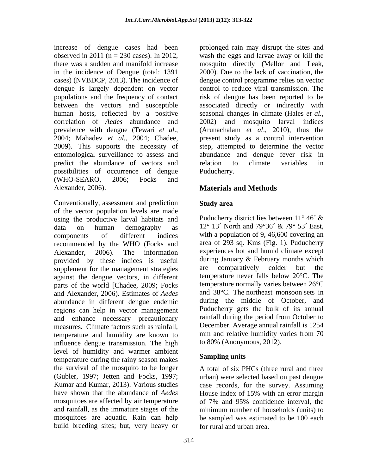cases) (NVBDCP, 2013). The incidence of dengue is largely dependent on vector human hosts, reflected by a positive correlation of *Aedes* abundance and predict the abundance of vectors and relation to climate variables in possibilities of occurrence of dengue (WHO-SEARO, 2006; Focks and Alexander, 2006). **Materials and Methods**

Conventionally, assessment and prediction Study area of the vector population levels are made<br>using the productive larval habitats and Puducherry district lies between  $11^{\circ} 46^{\prime}$  & using the productive larval habitats and data on human demography as 12° 13´ North and 79°36´ & 79° 53´ East, components of different indices with a population of 9, 46,600 covering an recommended by the WHO (Focks and Alexander, 2006). The information experiences hot and humid climate except provided by these indices is useful during January & February months which<br>supplement for the management strategies are comparatively colder but the supplement for the management strategies against the dengue vectors, in different parts of the world [Chadee, 2009; Focks and Alexander, 2006). Estimates of *Aedes*  abundance in different dengue endemic regions can help in vector management and enhance necessary precautionary measures. Climate factors such as rainfall,<br>temperature and humidity are known to mm and relative humidity varies from 70 temperature and humidity are known to influence dengue transmission. The high level of humidity and warmer ambient temperature during the rainy season makes the survival of the mosquito to be longer A total of six PHCs (three rural and three (Gubler, 1997; Jetten and Focks, 1997; urban) were selected based on past dengue Kumar and Kumar, 2013). Various studies case records, for the survey. Assuming have shown that the abundance of *Aedes* House index of 15% with an error margin mosquitoes are affected by air temperature of 7% and 95% confidence interval, the and rainfall, as the immature stages of the mosquitoes are aquatic. Rain can help be sampled was estimated to be 100 each build breeding sites; but, very heavy or

increase of dengue cases had been prolonged rain may disrupt the sites and observed in 2011 (n = 230 cases). In 2012, wash the eggs and larvae away or kill the there was a sudden and manifold increase mosquito directly (Mellor and Leak, in the incidence of Dengue (total: 1391 2000). Due to the lack of vaccination, the populations and the frequency of contact risk of dengue has been reported to be between the vectors and susceptible associated directly or indirectly with prevalence with dengue (Tewari *et al.*, (Arunachalam *et al.*, 2010), thus the 2004; Mahadev *et al.*, 2004; Chadee, present study as a control intervention 2009). This supports the necessity of step, attempted to determine the vector entomological surveillance to assess and abundance and dengue fever risk in dengue control programme relies on vector control to reduce viral transmission. The seasonal changes in climate (Hales *et al.,* 2002) and mosquito larval indices (Arunachalam *et al*., 2010), thus the present study as a control intervention relation to climate variables in Puducherry.

# **Study area**

Puducherry district lies between 11° 46´ & area of 293 sq. Kms (Fig. 1). Puducherry during January & February months which are comparatively colder but the temperature never falls below 20°C. The temperature normally varies between 26°C and 38°C. The northeast monsoon sets in during the middle of October, and Puducherry gets the bulk of its annual rainfall during the period from October to December. Average annual rainfall is 1254 mm and relative humidity varies from 70 to 80% (Anonymous, 2012).

# **Sampling units**

House index of 15% with an error margin of 7% and 95% confidence interval, the minimum number of households (units) to for rural and urban area.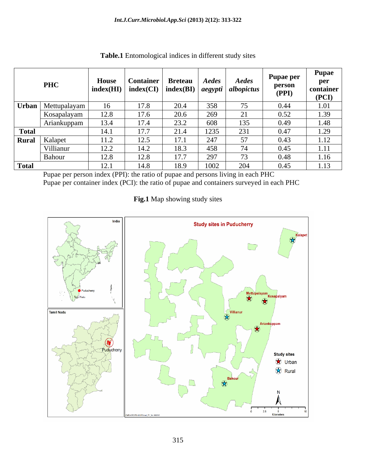|              | <b>PHC</b>         | House | <b>Container</b><br>$\frac{1}{2}$ index(HI) $\vert$ index(CI) $\vert$ index(BI) $\vert$ <i>aegypti</i> $\vert$ <i>albopictus</i> $\vert$ | <b>Breteau</b> | Aedes | Aedes | <b>Pupae per</b><br>person<br>(PPI) | <b>Pupae</b><br>per<br>container<br>(PCI) |
|--------------|--------------------|-------|------------------------------------------------------------------------------------------------------------------------------------------|----------------|-------|-------|-------------------------------------|-------------------------------------------|
|              | Urban Mettupalayam |       | 17.8                                                                                                                                     | 20.4           | 358   |       | 0.44                                | 1.01                                      |
|              | Kosapalayam        | 12.8  | 17.6                                                                                                                                     | 20.6           | 269   |       | 0.52                                | 1.39                                      |
|              | Ariankuppam        | 13.4  | 17.4                                                                                                                                     | 23.2           | 608   | 135   | 0.49                                | 1.48                                      |
| <b>Total</b> |                    | 14.1  | 17.7                                                                                                                                     | 21.4           | 1235  | 231   | 0.47                                | 1.29                                      |
|              | Rural Kalapet      | 11.2  | 12.5                                                                                                                                     | 17.1           | 247   | 57    | 0.43                                | 1.12                                      |
|              | Villianur          | 12.2  | 14.2                                                                                                                                     | 18.3           | 458   | 74    | 0.45                                | 1.11                                      |
|              | Bahour             | 12.8  | 12.8                                                                                                                                     | 17.7           | 297   |       | 0.48                                | 1.16                                      |
| Total        |                    | 12.1  | 14.8                                                                                                                                     | 18.9           | 1002  | 204   | 0.45                                | 1.13                                      |

**Table.1** Entomological indices in different study sites

Pupae per person index (PPI): the ratio of pupae and persons living in each PHC Pupae per container index (PCI): the ratio of pupae and containers surveyed in each PHC

# **Fig.1** Map showing study sites

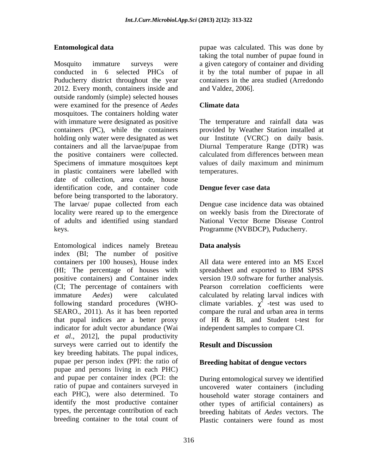Mosquito immature surveys were a given category of container and dividing conducted in 6 selected PHCs of it by the total number of pupae in all Puducherry district throughout the year containers in the area studied (Arredondo 2012. Every month, containers inside and outside randomly (simple) selected houses were examined for the presence of *Aedes* mosquitoes. The containers holding water with immature were designated as positive The temperature and rainfall data was containers (PC), while the containers provided by Weather Station installed at holding only water were designated as wet our Institute (VCRC) on daily basis. containers and all the larvae/pupae from the positive containers were collected. Specimens of immature mosquitoes kept values of daily maximum and minimum in plastic containers were labelled with date of collection, area code, house identification code, and container code **Dengue fever case data** before being transported to the laboratory. The larvae/ pupae collected from each Dengue case incidence data was obtained locality were reared up to the emergence on weekly basis from the Directorate of of adults and identified using standard National Vector Borne Disease Control keys. Programme (NVBDCP), Puducherry.

Entomological indices namely Breteau **Data analysis** index (BI; The number of positive containers per 100 houses), House index (HI; The percentage of houses with positive containers) and Container index version 19.0 software for further analysis. (CI; The percentage of containers with Pearson correlation coefficients were immature *Aedes*) were calculated calculated by relating larval indices with following standard procedures (WHO- climate variables.  $\chi^2$  -test was used to SEARO., 2011). As it has been reported that pupal indices are a better proxy indicator for adult vector abundance (Wai *et al*., 2012], the pupal productivity surveys were carried out to identify the **Result and Discussion** key breeding habitats. The pupal indices, pupae per person index (PPI: the ratio of pupae and persons living in each PHC) and pupae per container index (PCI: the ratio of pupae and containers surveyed in uncovered water containers (including each PHC), were also determined. To identify the most productive container other types of artificial containers) as types, the percentage contribution of each breeding habitats of *Aedes* vectors. The

**Entomological data** pupae was calculated. This was done by taking the total number of pupae found in and Valdez, 2006].

### **Climate data**

Diurnal Temperature Range (DTR) was calculated from differences between mean values of daily maximum and minimum temperatures.

### **Dengue fever case data**

# **Data analysis**

All data were entered into an MS Excel spreadsheet and exported to IBM SPSS compare the rural and urban area in terms of HI & BI, and Student t-test for independent samples to compare CI.

# **Result and Discussion**

### **Breeding habitat of dengue vectors**

breeding container to the total count of Plastic containers were found as mostDuring entomological survey we identified household water storage containers and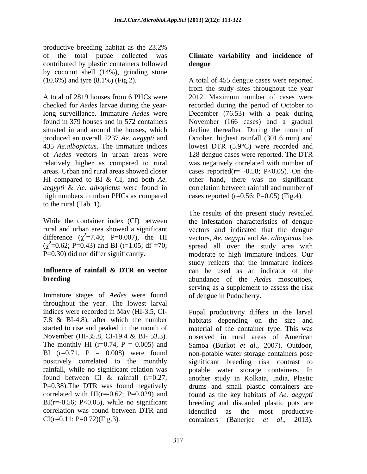productive breeding habitat as the 23.2% of the total pupae collected was **Climate variability and incidence of** contributed by plastic containers followed by coconut shell (14%), grinding stone

produced an overall 2237 *Ae. aegypti* and *aegypti* & *Ae. albopictus* were found in high numbers in urban PHCs as compared to the rural (Tab. 1).

difference  $(\chi^2 = 7.40; \text{ P} = 0.007)$ , the HI  $(\chi^2=0.62; P=0.43)$  and BI (t=1.05; df =70;

Immature stages of *Aedes* were found throughout the year. The lowest larval The monthly HI ( $r=0.74$ ,  $P = 0.005$ ) and correlation was found between DTR and

# **dengue**

(10.6%) and tyre (8.1%) (Fig.2). A total of 455 dengue cases were reported A total of 2819 houses from 6 PHCs were 2012. Maximum number of cases were checked for *Aedes* larvae during the year-recorded during the period of October to long surveillance. Immature *Aedes* were December (76.53) with a peak during found in 379 houses and in 572 containers November (166 cases) and a gradual situated in and around the houses, which decline thereafter. During the month of 435 *Ae.albopictus*. The immature indices lowest DTR (5.9°C) were recorded and of *Aedes* vectors in urban areas were 128 dengue cases were reported. The DTR relatively higher as compared to rural was negatively correlated with number of areas. Urban and rural areas showed closer cases reported(r= -0.58; P<0.05). On the HI compared to BI & CI, and both *Ae.*  other hand, there was no significant from the study sites throughout the year October, highest rainfall (301.6 mm) and correlation between rainfall and number of cases reported  $(r=0.56; P=0.05)$  (Fig.4).

While the container index (CI) between the infestation characteristics of dengue rural and urban area showed a significant vectors and indicated that the dengue P=0.30) did not differ significantly. moderate to high immature indices. Our **Influence of rainfall & DTR on vector** can be used as an indicator of the **breeding** abundance of the *Aedes* mosquitoes, The results of the present study revealed vectors, *Ae. aegypti* and *Ae. albopictus* has spread all over the study area with study reflects that the immature indices serving as a supplement to assess the risk of dengue in Puducherry.

indices were recorded in May (HI-3.5, CI- Pupal productivity differs in the larval 7.8 & BI-4.8), after which the number habitats depending on the size and started to rise and peaked in the month of material of the container type. This was November (HI-35.8, CI-19.4 & BI- 53.3). observed in rural areas of American BI  $(r=0.71, P = 0.008)$  were found non-potable water storage containers pose positively correlated to the monthly significant breeding risk contrast to rainfall, while no significant relation was potable water storage containers. In found between CI & rainfall (r=0.27; another study in Kolkata, India, Plastic P=0.38).The DTR was found negatively drums and small plastic containers are correlated with HI(r=-0.62; P=0.029) and found as the key habitats of *Ae. aegypti* BI(r=-0.56; P<0.05), while no significant breeding and discarded plastic pots are  $CI(r=0.11; P=0.72)(Fig.3).$  containers (Banerjee *et al.*, 2013). Samoa (Burkot *et al*., 2007). Outdoor, identified as the most productive containers (Banerjee *et al*., 2013).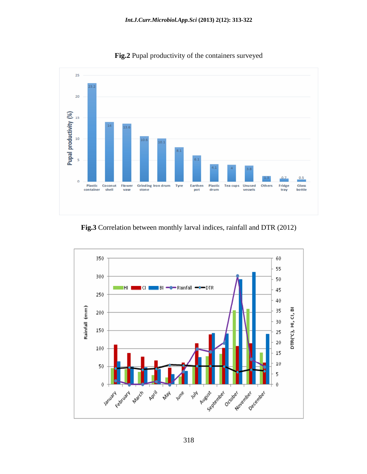

**Fig.2** Pupal productivity of the containers surveyed

**Fig.3** Correlation between monthly larval indices, rainfall and DTR (2012)

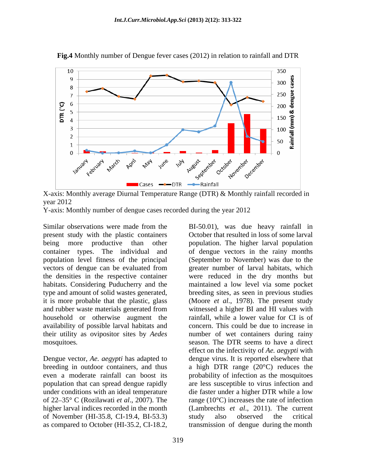

**Fig.4** Monthly number of Dengue fever cases (2012) in relation to rainfall and DTR

X-axis: Monthly average Diurnal Temperature Range (DTR) & Monthly rainfall recorded in year 2012

Y-axis: Monthly number of dengue cases recorded during the year 2012

Similar observations were made from the BI-50.01), was due heavy rainfall in present study with the plastic containers October that resulted in loss of some larval being more productive than other population. The higher larval population container types. The individual and of dengue vectors in the rainy months population level fitness of the principal (September to November) was due to the vectors of dengue can be evaluated from greater number of larval habitats, which the densities in the respective container were reduced in the dry months but habitats. Considering Puducherry and the maintained a low level via some pocket type and amount of solid wastes generated, breeding sites, as seen in previous studies it is more probable that the plastic, glass (Moore *et al.*, 1978). The present study and rubber waste materials generated from household or otherwise augment the availability of possible larval habitats and their utility as ovipositor sites by *Aedes* 

of November (HI-35.8, CI-19.4, BI-53.3) as compared to October (HI-35.2, CI-18.2, transmission of dengue during the month

mosquitoes*.* season. The DTR seems to have a direct Dengue vector, *Ae. aegypti* has adapted to dengue virus. It is reported elsewhere that breeding in outdoor containers, and thus a high DTR range (20°C) reduces the even a moderate rainfall can boost its probability of infection as the mosquitoes population that can spread dengue rapidly are less susceptible to virus infection and under conditions with an ideal temperature die faster under a higher DTR while a low of 22 35° C (Rozilawati *et al*., 2007). The range (10°C) increases the rate of infection higher larval indices recorded in the month (Lambrechts *et al*., 2011). The current greater number of larval habitats, which witnessed a higher BI and HI values with rainfall, while a lower value for CI is of concern. This could be due to increase in number of wet containers during rainy effect on the infectivity of *Ae. aegypti* with study also observed the critical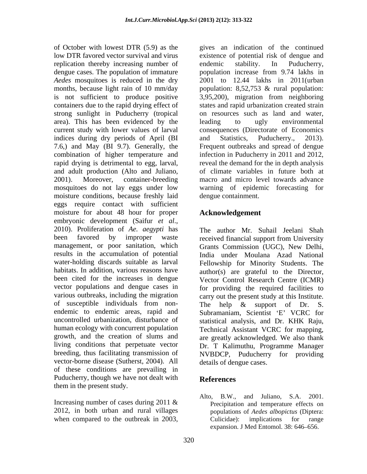low DTR favored vector survival and virus existence of potential risk of dengue and replication thereby increasing number of endemic stability. In Puducherry, dengue cases. The population of immature *Aedes* mosquitoes is reduced in the dry months, because light rain of 10 mm/day population: 8,52,753 & rural population: is not sufficient to produce positive 3,95,200), migration from neighboring containers due to the rapid drying effect of states and rapid urbanization created strain strong sunlight in Puducherry (tropical area). This has been evidenced by the leading to ugly environmental current study with lower values of larval consequences (Directorate of Economics indices during dry periods of April (BI and Statistics, Puducherry., 2013). 7.6,) and May (BI 9.7). Generally, the Frequent outbreaks and spread of dengue combination of higher temperature and infection in Puducherry in 2011 and 2012, rapid drying is detrimental to egg, larval, and adult production (Alto and Juliano, 2001). Moreover, container-breeding macro and micro level towards advance mosquitoes do not lay eggs under low warning of epidemic forecasting for moisture conditions, because freshly laid eggs require contact with sufficient moisture for about 48 hour for proper embryonic development (Saifur *et al*., 2010). Proliferation of *Ae. aegypti* has been favored by improper waste received financial support from University management, or poor sanitation, which Grants Commission (UGC), New Delhi, results in the accumulation of potential water-holding discards suitable as larval Fellowship for Minority Students. The habitats. In addition, various reasons have author(s) are grateful to the Director, been cited for the increases in dengue vector populations and dengue cases in for providing the required facilities to various outbreaks, including the migration carry out the present study at this Institute. of susceptible individuals from non-<br>The help & support of Dr. S. endemic to endemic areas, rapid and Subramaniam, Scientist 'E' VCRC for uncontrolled urbanization, disturbance of statistical analysis, and Dr. KHK Raju, human ecology with concurrent population Technical Assistant VCRC for mapping, growth, and the creation of slums and are greatly acknowledged. We also thank living conditions that perpetuate vector breeding, thus facilitating transmission of NVBDCP, Puducherry for providing vector-borne disease (Sutherst, 2004). All of these conditions are prevailing in Puducherry, though we have not dealt with **References** them in the present study.

Increasing number of cases during 2011 & 2012, in both urban and rural villages

of October with lowest DTR (5.9) as the gives an indication of the continued endemic stability. In Puducherry, population increase from 9.74 lakhs in 2001 to 12.44 lakhs in 2011(urban on resources such as land and water, leading to ugly environmental and Statistics, Puducherry., 2013). reveal the demand for the in depth analysis of climate variables in future both at dengue containment.

# **Acknowledgement**

The author Mr. Suhail Jeelani Shah India under Moulana Azad National Vector Control Research Centre (ICMR) The help & support of Dr. S. Dr. T Kalimuthu, Programme Manager details of dengue cases.

# **References**

when compared to the outbreak in 2003,  $\overrightarrow{Culicidae}$ ; implications for range Alto, B.W., and Juliano, S.A. 2001. Precipitation and temperature effects on populations of *Aedes albopictus* (Diptera: Culicidae): implications for range expansion. J Med Entomol. 38: 646–656.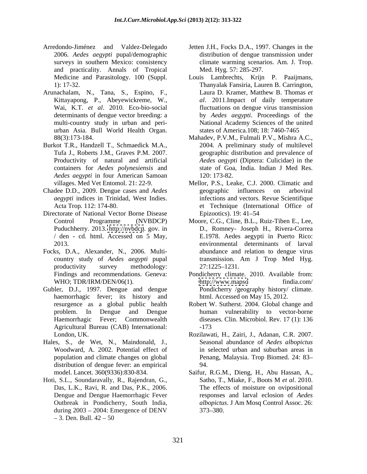- Arredondo-Jiménez and Valdez-Delegado Jetten J.H., Focks D.A., 1997. Changes in the 2006. *Aedes aegypti* pupal/demographic and practicality. Annals of Tropical
- Arunachalam, N., Tana, S., Espino, F., urban Asia. Bull World Health Organ.
- Burkot T.R., Handzell T., Schmaedick M.A., containers for *Aedes polynesiensis* and *Aedes aegypti* in four American Samoan
- 
- Directorate of National Vector Borne Disease Epizootics). 19: 41–54
- Focks, D.A., Alexander, N., 2006. Multi-
- Gubler, D.J., 1997. Dengue and dengue haemorrhagic fever; its history and Agricultural Bureau (CAB) International:
- Hales, S., de Wet, N., Maindonald, J., Woodward, A. 2002. Potential effect of distribution of dengue fever: an empirical 94.
- Hoti, S.L., Soundaravally, R., Rajendran, G., Satho, T., Miake, F., Boots M et al. 2010. Das, L.K., Ravi, R. and Das, P.K., 2006. during  $2003 - 2004$ : Emergence of DENV  $373-380$ . 3. Den. Bull.  $42 - 50$
- surveys in southern Mexico: consistency climate warming scenarios. Am. J. Trop. distribution of dengue transmission under Med. Hyg*.* 57: 285-297.
- Medicine and Parasitology. 100 (Suppl. Louis Lambrechts, Krijn P. Paaijmans, 1): 17-32. Thanyalak Fansiria, Lauren B. Carrington, Kittayapong, P., Abeyewickreme, W., *al*. 2011.Impact of daily temperature Wai, K.T. *et al*. 2010. Eco-bio-social fluctuations on dengue virus transmission determinants of dengue vector breeding: a by *Aedes aegypti.* Proceedings of the multi-country study in urban and peri- National Academy Sciences of the united Laura D. Kramer, Matthew B. Thomas *et*  states of America*.*108; 18: 7460-7465
- 88(3):173-184. Mahadev, P.V.M., Fulmali P.V., Mishra A.C., Tufa J., Roberts J.M., Graves P.M. 2007. geographic distribution and prevalence of Productivity of natural and artificial *Aedes aegypti* (Diptera: Culicidae) in the 2004. A preliminary study of multilevel state of Goa, India. Indian J Med Res. 120: 173-82.
- villages. Med Vet Entomol. 21: 22-9. Mellor, P.S., Leake, C.J. 2000. Climatic and Chadee D.D., 2009. Dengue cases and *Aedes aegypti* indices in Trinidad, West Indies. infections and vectors. Revue Scientifique Acta Trop*.* 112: 174-80. et Technique (International Office of geographic influences on arboviral Epizootics). 19: 41–54
	- Control Programme (NVBDCP) Moore, C.G., Cline, B.L., Ruiz-Tiben E., Lee, Puduchherry. 2013. <http://nvbdcp>. gov. in D., Romney- Joseph H., Rivera-Correa / den - cd. html. Accessed on 5 May, E.1978. Aedes aegypti in Puerto Rico: 2013. environmental determinants of larval country study of *Aedes aegypti* pupal transmission. Am J Trop Med Hyg. productivity survey methodology: 27:1225–1231. abundance and relation to dengue virus 27:1225–1231.
	- Findings and recommendations. Geneva: Pondicherry climate. 2010. Available from: WHO; TDR/IRM/DEN/06(1). http://www.mapso findia.com/ <http://www.mapso> findia.com/ Pondicherry /geography history/ climate. html. Accessed on May 15, 2012.
	- resurgence as a global public health Robert W. Sutherst. 2004. Global change and problem. In Dengue and Dengue human vulnerability to vector-borne Haemorrhagic Fever; Commonwealth diseases. Clin. Microbiol. Rev*.* 17 (1): 136 -173
	- London, UK. Rozilawati, H., Zairi, J., Adanan, C.R. 2007. population and climate changes on global Penang, Malaysia. Trop Biomed. 24: 83 Seasonal abundance of *Aedes albopictus* in selected urban and suburban areas in 94.
	- model. Lancet. 360(9336):830-834. Saifur, R.G.M., Dieng, H., Abu Hassan, A., Dengue and Dengue Haemorrhagic Fever responses and larval eclosion of *Aedes*  Outbreak in Pondicherry, South India, *albopictus*. J Am Mosq Control Assoc. 26: Satho, T., Miake, F., Boots M *et al*. 2010. The effects of moisture on ovipositional 373 380.